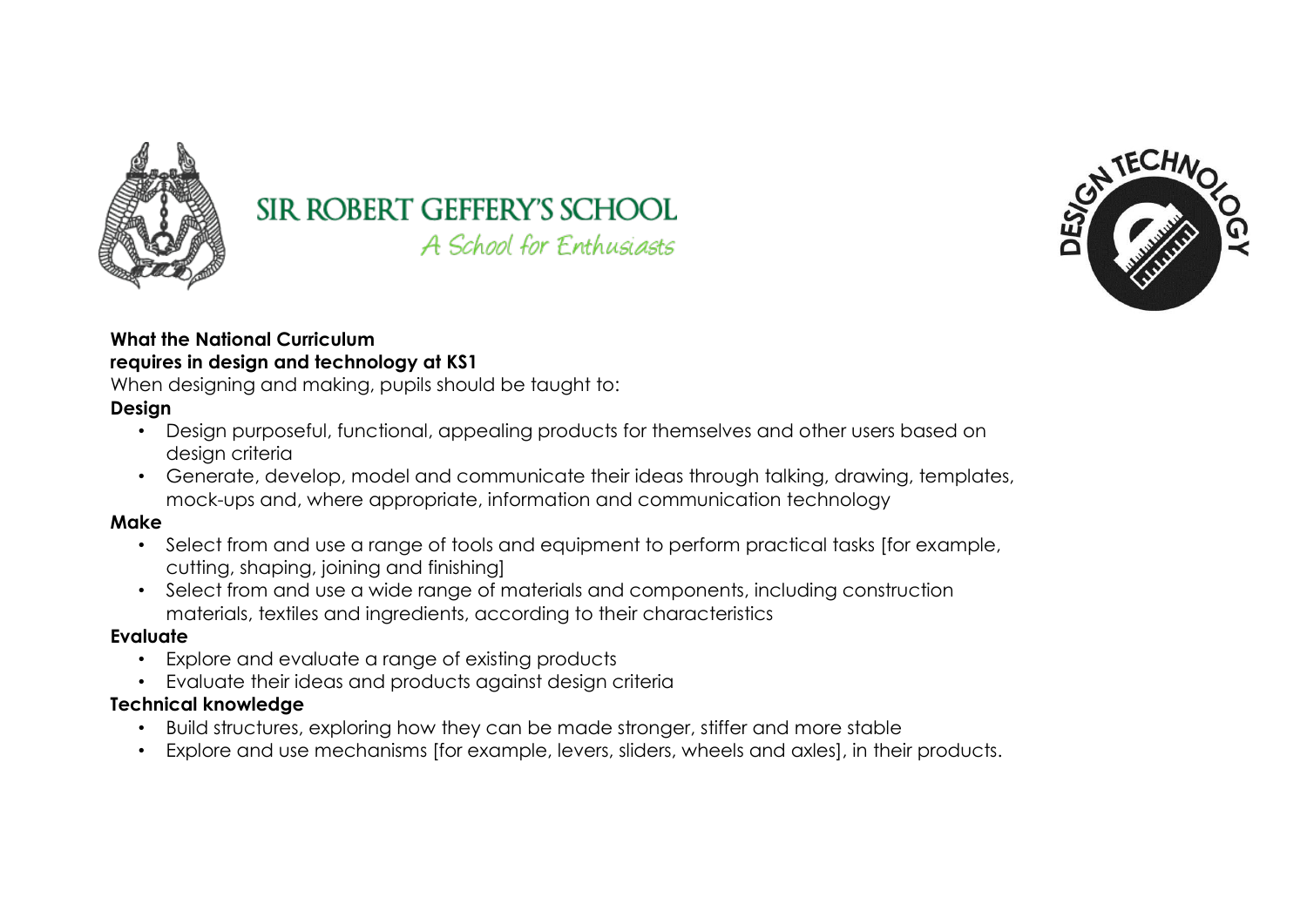

# **SIR ROBERT GEFFERY'S SCHOOL**

A School for Enthusiasts



#### **What the National Curriculum requires in design and technology at KS1**

When designing and making, pupils should be taught to:

# **Design**

- Design purposeful, functional, appealing products for themselves and other users based on design criteria
- Generate, develop, model and communicate their ideas through talking, drawing, templates, mock-ups and, where appropriate, information and communication technology

## **Make**

- Select from and use a range of tools and equipment to perform practical tasks [for example, cutting, shaping, joining and finishing]
- Select from and use a wide range of materials and components, including construction materials, textiles and ingredients, according to their characteristics

## **Evaluate**

- Explore and evaluate a range of existing products
- Evaluate their ideas and products against design criteria

# **Technical knowledge**

- Build structures, exploring how they can be made stronger, stiffer and more stable
- Explore and use mechanisms [for example, levers, sliders, wheels and axles], in their products.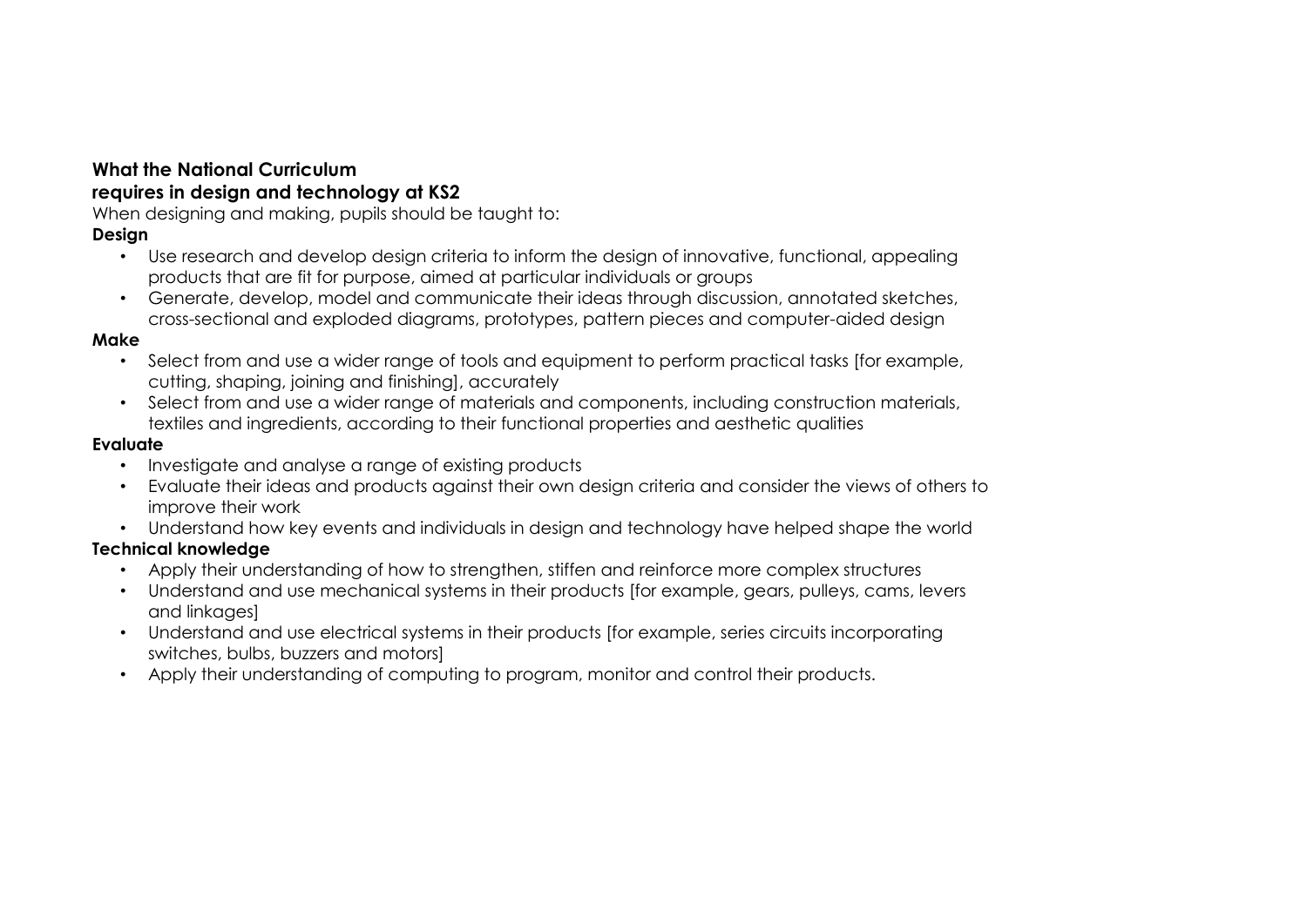#### **What the National Curriculum requires in design and technology at KS2**

When designing and making, pupils should be taught to:

## **Design**

- Use research and develop design criteria to inform the design of innovative, functional, appealing products that are fit for purpose, aimed at particular individuals or groups
- Generate, develop, model and communicate their ideas through discussion, annotated sketches, cross-sectional and exploded diagrams, prototypes, pattern pieces and computer-aided design

#### **Make**

- Select from and use a wider range of tools and equipment to perform practical tasks [for example, cutting, shaping, joining and finishing], accurately
- Select from and use a wider range of materials and components, including construction materials, textiles and ingredients, according to their functional properties and aesthetic qualities

#### **Evaluate**

- Investigate and analyse a range of existing products
- Evaluate their ideas and products against their own design criteria and consider the views of others to improve their work
- Understand how key events and individuals in design and technology have helped shape the world

## **Technical knowledge**

- Apply their understanding of how to strengthen, stiffen and reinforce more complex structures
- Understand and use mechanical systems in their products [for example, gears, pulleys, cams, levers and linkages]
- Understand and use electrical systems in their products [for example, series circuits incorporating switches, bulbs, buzzers and motors]
- Apply their understanding of computing to program, monitor and control their products.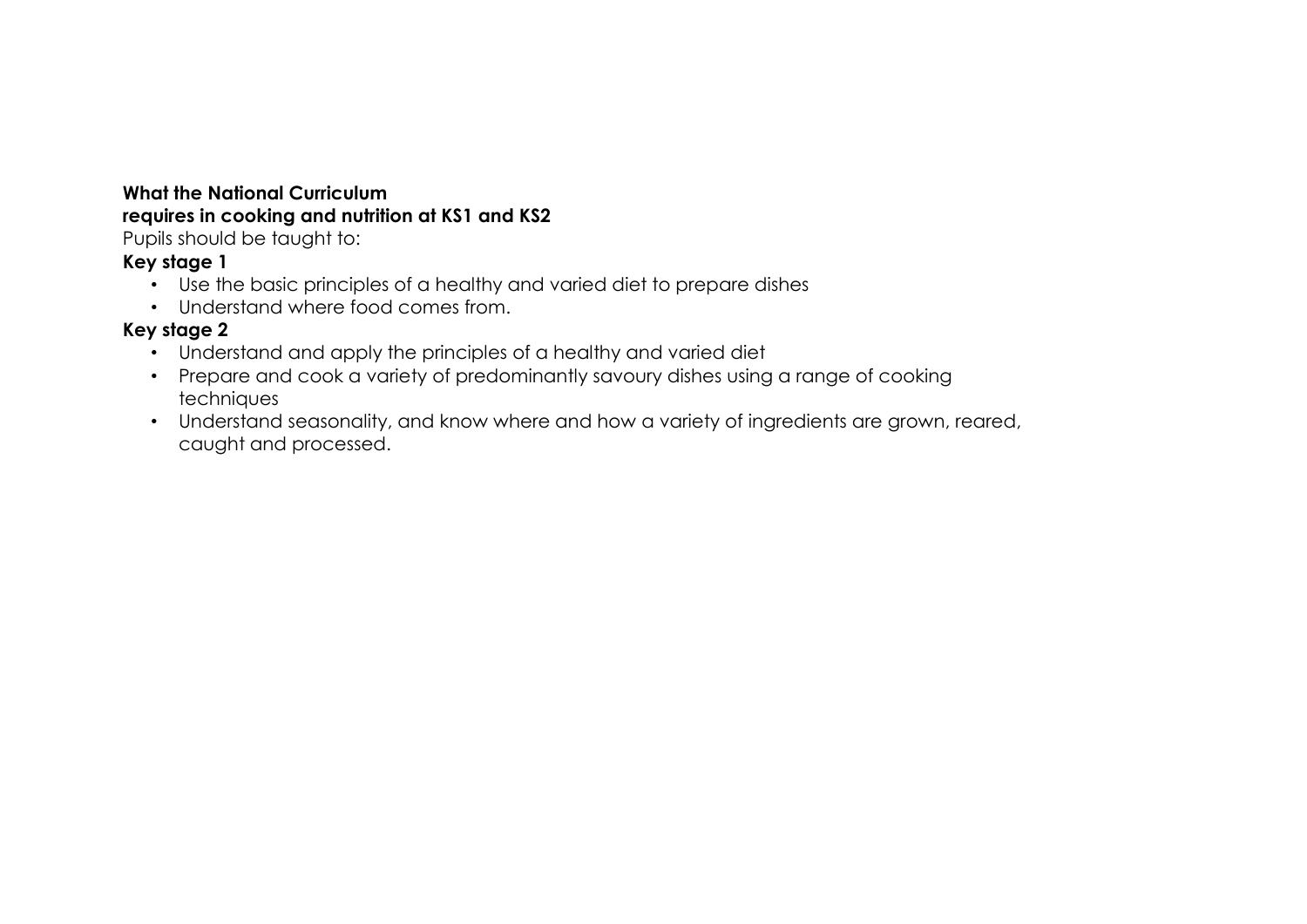## **What the National Curriculum requires in cooking and nutrition at KS1 and KS2**

Pupils should be taught to:

## **Key stage 1**

- Use the basic principles of a healthy and varied diet to prepare dishes
- Understand where food comes from.

## **Key stage 2**

- Understand and apply the principles of a healthy and varied diet
- Prepare and cook a variety of predominantly savoury dishes using a range of cooking techniques
- Understand seasonality, and know where and how a variety of ingredients are grown, reared, caught and processed.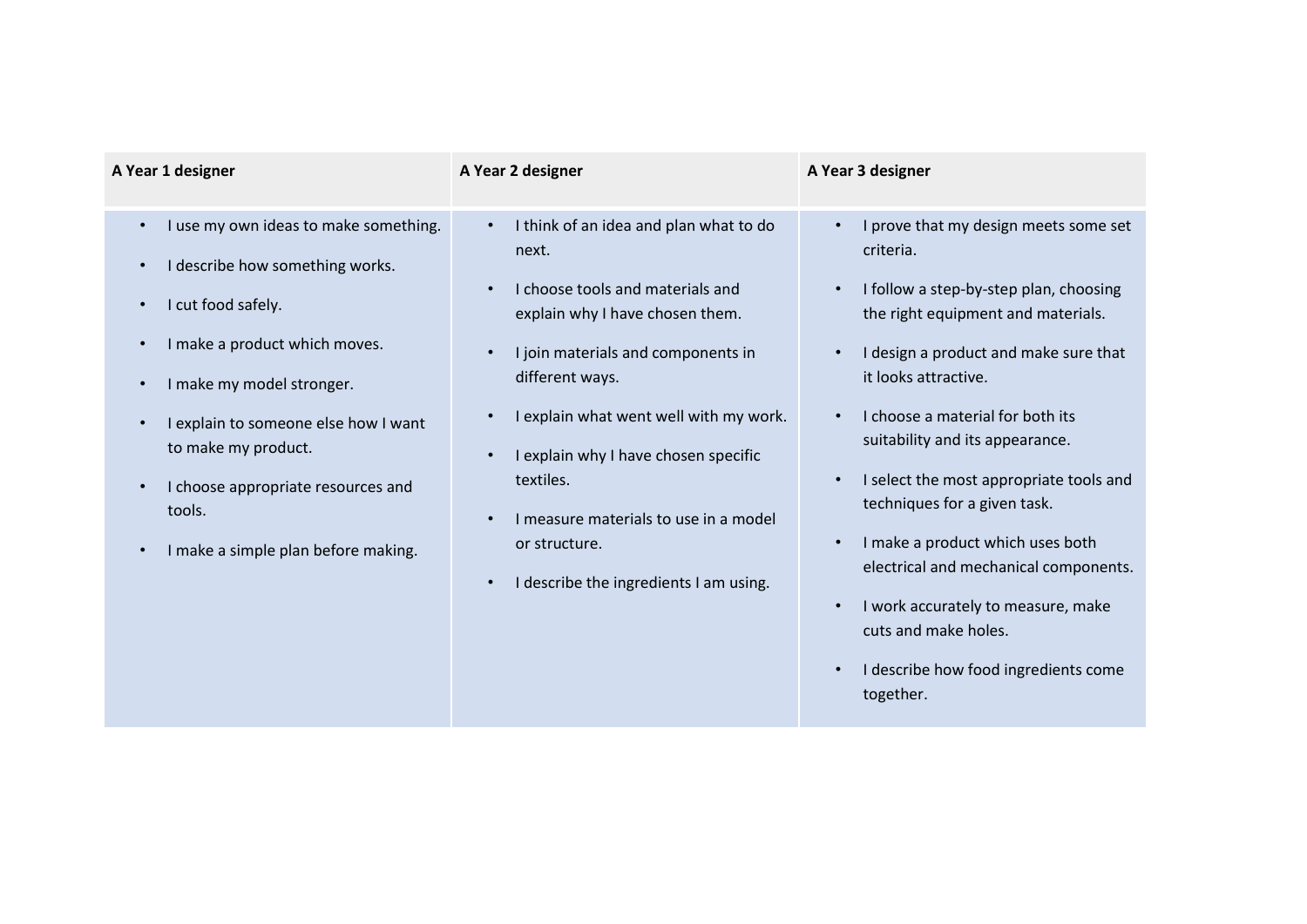| A Year 1 designer                                                                                                                                                                                                                                                                                                               | A Year 2 designer                                                                                                                                                                                                                                                                                                                                                                               | A Year 3 designer                                                                                                                                                                                                                                                                                                                                                                                                                                                                                                                                                                                                                                             |
|---------------------------------------------------------------------------------------------------------------------------------------------------------------------------------------------------------------------------------------------------------------------------------------------------------------------------------|-------------------------------------------------------------------------------------------------------------------------------------------------------------------------------------------------------------------------------------------------------------------------------------------------------------------------------------------------------------------------------------------------|---------------------------------------------------------------------------------------------------------------------------------------------------------------------------------------------------------------------------------------------------------------------------------------------------------------------------------------------------------------------------------------------------------------------------------------------------------------------------------------------------------------------------------------------------------------------------------------------------------------------------------------------------------------|
| I use my own ideas to make something.<br>$\bullet$<br>I describe how something works.<br>I cut food safely.<br>I make a product which moves.<br>I make my model stronger.<br>I explain to someone else how I want<br>to make my product.<br>I choose appropriate resources and<br>tools.<br>I make a simple plan before making. | I think of an idea and plan what to do<br>next.<br>I choose tools and materials and<br>explain why I have chosen them.<br>I join materials and components in<br>$\bullet$<br>different ways.<br>I explain what went well with my work.<br>I explain why I have chosen specific<br>textiles.<br>I measure materials to use in a model<br>or structure.<br>I describe the ingredients I am using. | I prove that my design meets some set<br>$\bullet$<br>criteria.<br>I follow a step-by-step plan, choosing<br>$\bullet$<br>the right equipment and materials.<br>I design a product and make sure that<br>$\bullet$<br>it looks attractive.<br>I choose a material for both its<br>$\bullet$<br>suitability and its appearance.<br>I select the most appropriate tools and<br>$\bullet$<br>techniques for a given task.<br>I make a product which uses both<br>$\bullet$<br>electrical and mechanical components.<br>I work accurately to measure, make<br>$\bullet$<br>cuts and make holes.<br>I describe how food ingredients come<br>$\bullet$<br>together. |